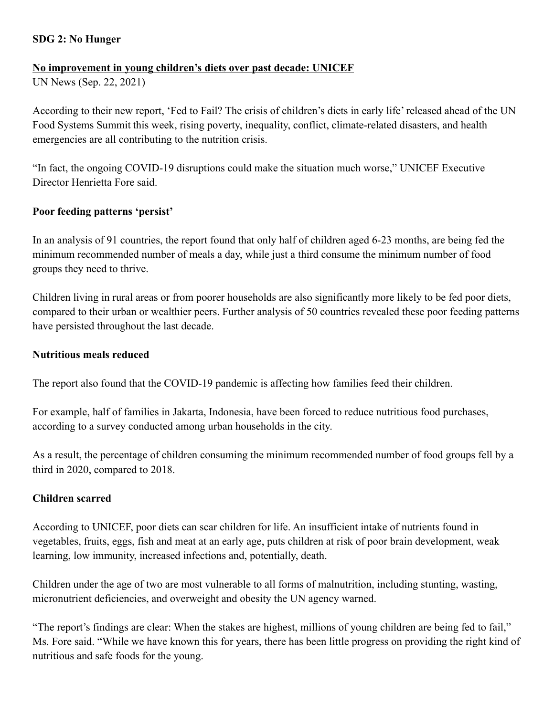## **SDG 2: No Hunger**

#### **No improvement in young children's diets over past decade: UNICEF**

UN News (Sep. 22, 2021)

According to their new report, 'Fed to Fail? The crisis of children's diets in early life' released ahead of the UN Food Systems Summit this week, rising poverty, inequality, conflict, climate-related disasters, and health emergencies are all contributing to the nutrition crisis.

"In fact, the ongoing COVID-19 disruptions could make the situation much worse," UNICEF Executive Director Henrietta Fore said.

## **Poor feeding patterns 'persist'**

In an analysis of 91 countries, the report found that only half of children aged 6-23 months, are being fed the minimum recommended number of meals a day, while just a third consume the minimum number of food groups they need to thrive.

Children living in rural areas or from poorer households are also significantly more likely to be fed poor diets, compared to their urban or wealthier peers. Further analysis of 50 countries revealed these poor feeding patterns have persisted throughout the last decade.

#### **Nutritious meals reduced**

The report also found that the COVID-19 pandemic is affecting how families feed their children.

For example, half of families in Jakarta, Indonesia, have been forced to reduce nutritious food purchases, according to a survey conducted among urban households in the city.

As a result, the percentage of children consuming the minimum recommended number of food groups fell by a third in 2020, compared to 2018.

# **Children scarred**

According to UNICEF, poor diets can scar children for life. An insufficient intake of nutrients found in vegetables, fruits, eggs, fish and meat at an early age, puts children at risk of poor brain development, weak learning, low immunity, increased infections and, potentially, death.

Children under the age of two are most vulnerable to all forms of malnutrition, including stunting, wasting, micronutrient deficiencies, and overweight and obesity the UN agency warned.

"The report's findings are clear: When the stakes are highest, millions of young children are being fed to fail," Ms. Fore said. "While we have known this for years, there has been little progress on providing the right kind of nutritious and safe foods for the young.